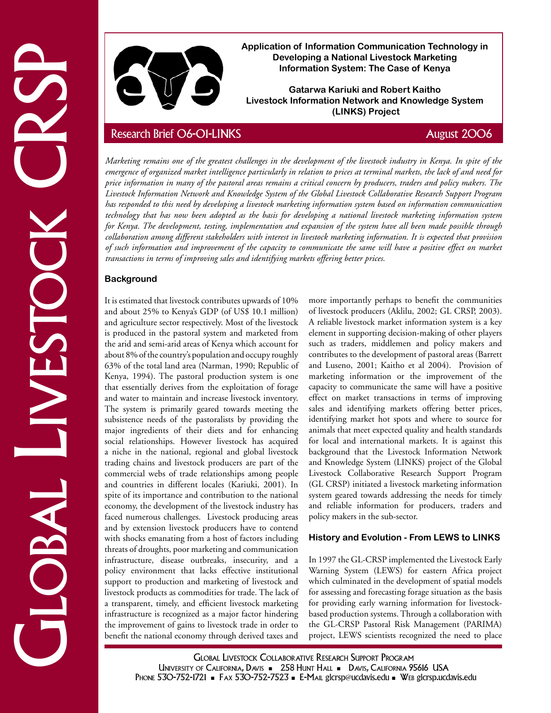

**Application of Information Communication Technology in Developing a National Livestock Marketing Information System: The Case of Kenya**

**Gatarwa Kariuki and Robert Kaitho Livestock Information Network and Knowledge System (LINKS) Project**

Application of Internation of Internation Communication Technology in Addenial Livestock CRSP Research Brief 06-01-LINKS CRISING Project CRSP Research Brief 06-01-LINKS August 2006 CRSP Research Brief 06-01-LINKS August 20 *Marketing remains one of the greatest challenges in the development of the livestock industry in Kenya. In spite of the emergence of organized market intelligence particularly in relation to prices at terminal markets, the lack of and need for price information in many of the pastoral areas remains a critical concern by producers, traders and policy makers. The Livestock Information Network and Knowledge System of the Global Livestock Collaborative Research Support Program has responded to this need by developing a livestock marketing information system based on information communication technology that has now been adopted as the basis for developing a national livestock marketing information system for Kenya. The development, testing, implementation and expansion of the system have all been made possible through collaboration among different stakeholders with interest in livestock marketing information. It is expected that provision of such information and improvement of the capacity to communicate the same will have a positive effect on market transactions in terms of improving sales and identifying markets offering better prices.*

## **Background**

It is estimated that livestock contributes upwards of 10% and about 25% to Kenya's GDP (of US\$ 10.1 million) and agriculture sector respectively. Most of the livestock is produced in the pastoral system and marketed from the arid and semi-arid areas of Kenya which account for about 8% of the country's population and occupy roughly 63% of the total land area (Narman, 1990; Republic of Kenya, 1994). The pastoral production system is one that essentially derives from the exploitation of forage and water to maintain and increase livestock inventory. The system is primarily geared towards meeting the subsistence needs of the pastoralists by providing the major ingredients of their diets and for enhancing social relationships. However livestock has acquired a niche in the national, regional and global livestock trading chains and livestock producers are part of the commercial webs of trade relationships among people and countries in different locales (Kariuki, 2001). In spite of its importance and contribution to the national economy, the development of the livestock industry has faced numerous challenges. Livestock producing areas and by extension livestock producers have to contend with shocks emanating from a host of factors including threats of droughts, poor marketing and communication infrastructure, disease outbreaks, insecurity, and a policy environment that lacks effective institutional support to production and marketing of livestock and livestock products as commodities for trade. The lack of a transparent, timely, and efficient livestock marketing infrastructure is recognized as a major factor hindering the improvement of gains to livestock trade in order to benefit the national economy through derived taxes and

more importantly perhaps to benefit the communities of livestock producers (Aklilu, 2002; GL CRSP, 2003). A reliable livestock market information system is a key element in supporting decision-making of other players such as traders, middlemen and policy makers and contributes to the development of pastoral areas (Barrett and Luseno, 2001; Kaitho et al 2004). Provision of marketing information or the improvement of the capacity to communicate the same will have a positive effect on market transactions in terms of improving sales and identifying markets offering better prices, identifying market hot spots and where to source for animals that meet expected quality and health standards for local and international markets. It is against this background that the Livestock Information Network and Knowledge System (LINKS) project of the Global Livestock Collaborative Research Support Program (GL CRSP) initiated a livestock marketing information system geared towards addressing the needs for timely and reliable information for producers, traders and policy makers in the sub-sector.

### **History and Evolution - From LEWS to LINKS**

In 1997 the GL-CRSP implemented the Livestock Early Warning System (LEWS) for eastern Africa project which culminated in the development of spatial models for assessing and forecasting forage situation as the basis for providing early warning information for livestockbased production systems. Through a collaboration with the GL-CRSP Pastoral Risk Management (PARIMA) project, LEWS scientists recognized the need to place

Global Livestock Collaborative Research Support Program UNIVERSITY OF CALIFORNIA, DAVIS - 258 HUNT HALL - DAVIS, CALIFORNIA 95616 USA PHONE 530-752-1721 • FAX 530-752-7523 • E-MAIL glcrsp@ucdavis.edu • WEB glcrsp.ucdavis.edu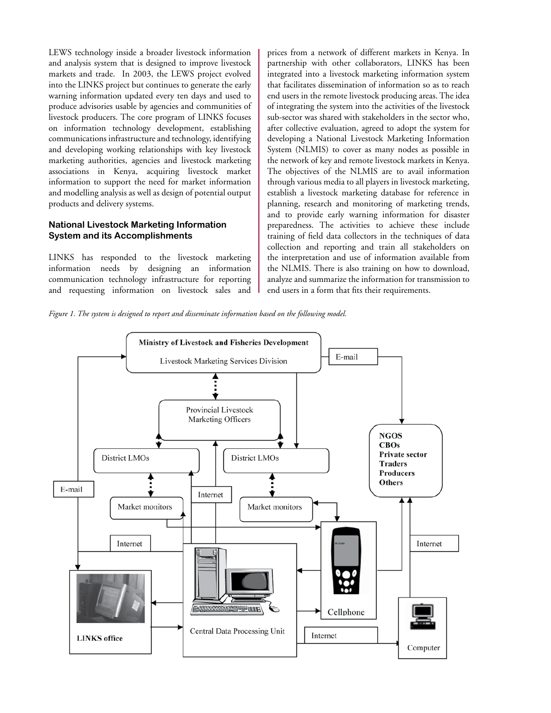LEWS technology inside a broader livestock information and analysis system that is designed to improve livestock markets and trade. In 2003, the LEWS project evolved into the LINKS project but continues to generate the early warning information updated every ten days and used to produce advisories usable by agencies and communities of livestock producers. The core program of LINKS focuses on information technology development, establishing communications infrastructure and technology, identifying and developing working relationships with key livestock marketing authorities, agencies and livestock marketing associations in Kenya, acquiring livestock market information to support the need for market information and modelling analysis as well as design of potential output products and delivery systems.

#### **National Livestock Marketing Information System and its Accomplishments**

LINKS has responded to the livestock marketing information needs by designing an information communication technology infrastructure for reporting and requesting information on livestock sales and

prices from a network of different markets in Kenya. In partnership with other collaborators, LINKS has been integrated into a livestock marketing information system that facilitates dissemination of information so as to reach end users in the remote livestock producing areas. The idea of integrating the system into the activities of the livestock sub-sector was shared with stakeholders in the sector who, after collective evaluation, agreed to adopt the system for developing a National Livestock Marketing Information System (NLMIS) to cover as many nodes as possible in the network of key and remote livestock markets in Kenya. The objectives of the NLMIS are to avail information through various media to all players in livestock marketing, establish a livestock marketing database for reference in planning, research and monitoring of marketing trends, and to provide early warning information for disaster preparedness. The activities to achieve these include training of field data collectors in the techniques of data collection and reporting and train all stakeholders on the interpretation and use of information available from the NLMIS. There is also training on how to download, analyze and summarize the information for transmission to end users in a form that fits their requirements.

*Figure 1. The system is designed to report and disseminate information based on the following model.*

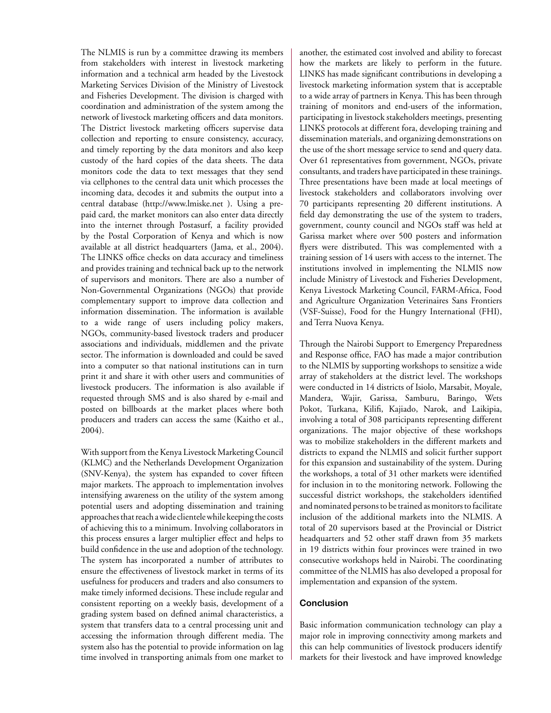The NLMIS is run by a committee drawing its members from stakeholders with interest in livestock marketing information and a technical arm headed by the Livestock Marketing Services Division of the Ministry of Livestock and Fisheries Development. The division is charged with coordination and administration of the system among the network of livestock marketing officers and data monitors. The District livestock marketing officers supervise data collection and reporting to ensure consistency, accuracy, and timely reporting by the data monitors and also keep custody of the hard copies of the data sheets. The data monitors code the data to text messages that they send via cellphones to the central data unit which processes the incoming data, decodes it and submits the output into a central database (http://www.lmiske.net ). Using a prepaid card, the market monitors can also enter data directly into the internet through Postasurf, a facility provided by the Postal Corporation of Kenya and which is now available at all district headquarters (Jama, et al., 2004). The LINKS office checks on data accuracy and timeliness and provides training and technical back up to the network of supervisors and monitors. There are also a number of Non-Governmental Organizations (NGOs) that provide complementary support to improve data collection and information dissemination. The information is available to a wide range of users including policy makers, NGOs, community-based livestock traders and producer associations and individuals, middlemen and the private sector. The information is downloaded and could be saved into a computer so that national institutions can in turn print it and share it with other users and communities of livestock producers. The information is also available if requested through SMS and is also shared by e-mail and posted on billboards at the market places where both producers and traders can access the same (Kaitho et al., 2004).

With support from the Kenya Livestock Marketing Council (KLMC) and the Netherlands Development Organization (SNV-Kenya), the system has expanded to cover fifteen major markets. The approach to implementation involves intensifying awareness on the utility of the system among potential users and adopting dissemination and training approaches that reach a wide clientele while keeping the costs of achieving this to a minimum. Involving collaborators in this process ensures a larger multiplier effect and helps to build confidence in the use and adoption of the technology. The system has incorporated a number of attributes to ensure the effectiveness of livestock market in terms of its usefulness for producers and traders and also consumers to make timely informed decisions. These include regular and consistent reporting on a weekly basis, development of a grading system based on defined animal characteristics, a system that transfers data to a central processing unit and accessing the information through different media. The system also has the potential to provide information on lag time involved in transporting animals from one market to another, the estimated cost involved and ability to forecast how the markets are likely to perform in the future. LINKS has made significant contributions in developing a livestock marketing information system that is acceptable to a wide array of partners in Kenya. This has been through training of monitors and end-users of the information, participating in livestock stakeholders meetings, presenting LINKS protocols at different fora, developing training and dissemination materials, and organizing demonstrations on the use of the short message service to send and query data. Over 61 representatives from government, NGOs, private consultants, and traders have participated in these trainings. Three presentations have been made at local meetings of livestock stakeholders and collaborators involving over 70 participants representing 20 different institutions. A field day demonstrating the use of the system to traders, government, county council and NGOs staff was held at Garissa market where over 500 posters and information flyers were distributed. This was complemented with a training session of 14 users with access to the internet. The institutions involved in implementing the NLMIS now include Ministry of Livestock and Fisheries Development, Kenya Livestock Marketing Council, FARM-Africa, Food and Agriculture Organization Veterinaires Sans Frontiers (VSF-Suisse), Food for the Hungry International (FHI), and Terra Nuova Kenya.

Through the Nairobi Support to Emergency Preparedness and Response office, FAO has made a major contribution to the NLMIS by supporting workshops to sensitize a wide array of stakeholders at the district level. The workshops were conducted in 14 districts of Isiolo, Marsabit, Moyale, Mandera, Wajir, Garissa, Samburu, Baringo, Wets Pokot, Turkana, Kilifi, Kajiado, Narok, and Laikipia, involving a total of 308 participants representing different organizations. The major objective of these workshops was to mobilize stakeholders in the different markets and districts to expand the NLMIS and solicit further support for this expansion and sustainability of the system. During the workshops, a total of 31 other markets were identified for inclusion in to the monitoring network. Following the successful district workshops, the stakeholders identified and nominated persons to be trained as monitors to facilitate inclusion of the additional markets into the NLMIS. A total of 20 supervisors based at the Provincial or District headquarters and 52 other staff drawn from 35 markets in 19 districts within four provinces were trained in two consecutive workshops held in Nairobi. The coordinating committee of the NLMIS has also developed a proposal for implementation and expansion of the system.

#### **Conclusion**

Basic information communication technology can play a major role in improving connectivity among markets and this can help communities of livestock producers identify markets for their livestock and have improved knowledge